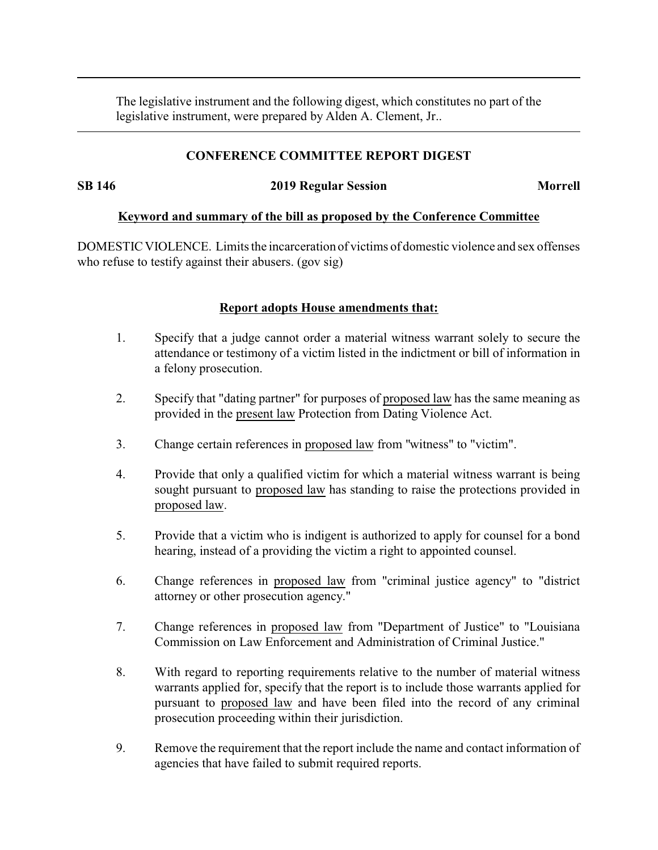The legislative instrument and the following digest, which constitutes no part of the legislative instrument, were prepared by Alden A. Clement, Jr..

## **CONFERENCE COMMITTEE REPORT DIGEST**

**SB 146 2019 Regular Session Morrell**

### **Keyword and summary of the bill as proposed by the Conference Committee**

DOMESTIC VIOLENCE. Limits the incarceration of victims of domestic violence and sex offenses who refuse to testify against their abusers. (gov sig)

### **Report adopts House amendments that:**

- 1. Specify that a judge cannot order a material witness warrant solely to secure the attendance or testimony of a victim listed in the indictment or bill of information in a felony prosecution.
- 2. Specify that "dating partner" for purposes of proposed law has the same meaning as provided in the present law Protection from Dating Violence Act.
- 3. Change certain references in proposed law from "witness" to "victim".
- 4. Provide that only a qualified victim for which a material witness warrant is being sought pursuant to proposed law has standing to raise the protections provided in proposed law.
- 5. Provide that a victim who is indigent is authorized to apply for counsel for a bond hearing, instead of a providing the victim a right to appointed counsel.
- 6. Change references in proposed law from "criminal justice agency" to "district attorney or other prosecution agency."
- 7. Change references in proposed law from "Department of Justice" to "Louisiana Commission on Law Enforcement and Administration of Criminal Justice."
- 8. With regard to reporting requirements relative to the number of material witness warrants applied for, specify that the report is to include those warrants applied for pursuant to proposed law and have been filed into the record of any criminal prosecution proceeding within their jurisdiction.
- 9. Remove the requirement that the report include the name and contact information of agencies that have failed to submit required reports.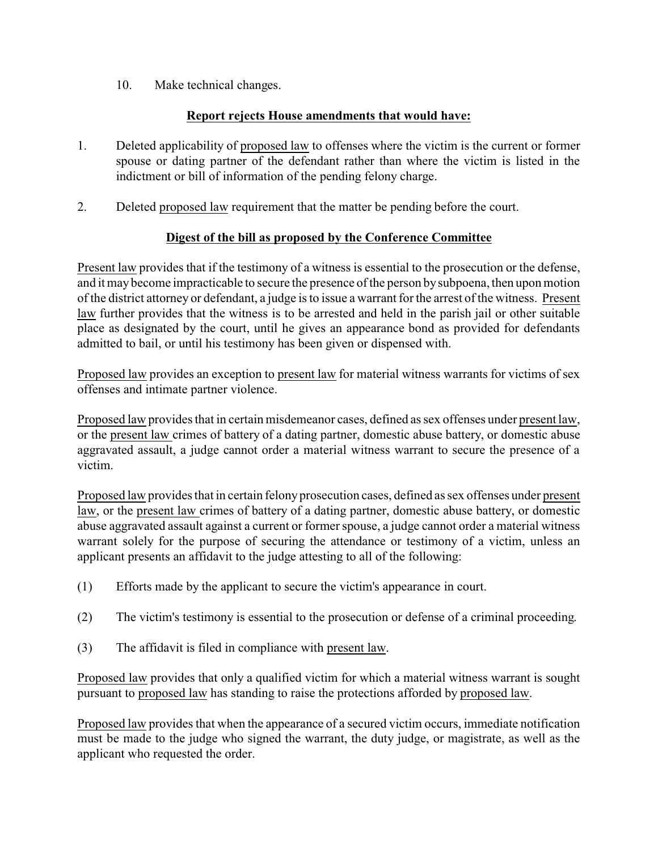10. Make technical changes.

# **Report rejects House amendments that would have:**

- 1. Deleted applicability of proposed law to offenses where the victim is the current or former spouse or dating partner of the defendant rather than where the victim is listed in the indictment or bill of information of the pending felony charge.
- 2. Deleted proposed law requirement that the matter be pending before the court.

# **Digest of the bill as proposed by the Conference Committee**

Present law provides that if the testimony of a witness is essential to the prosecution or the defense, and it may become impracticable to secure the presence of the person bysubpoena, then upon motion of the district attorney or defendant, a judge is to issue a warrant for the arrest of the witness. Present law further provides that the witness is to be arrested and held in the parish jail or other suitable place as designated by the court, until he gives an appearance bond as provided for defendants admitted to bail, or until his testimony has been given or dispensed with.

Proposed law provides an exception to present law for material witness warrants for victims of sex offenses and intimate partner violence.

Proposed law provides that in certain misdemeanor cases, defined as sex offenses under present law, or the present law crimes of battery of a dating partner, domestic abuse battery, or domestic abuse aggravated assault, a judge cannot order a material witness warrant to secure the presence of a victim.

Proposed law provides that in certain felony prosecution cases, defined as sex offenses under present law, or the present law crimes of battery of a dating partner, domestic abuse battery, or domestic abuse aggravated assault against a current or former spouse, a judge cannot order a material witness warrant solely for the purpose of securing the attendance or testimony of a victim, unless an applicant presents an affidavit to the judge attesting to all of the following:

- (1) Efforts made by the applicant to secure the victim's appearance in court.
- (2) The victim's testimony is essential to the prosecution or defense of a criminal proceeding.
- (3) The affidavit is filed in compliance with present law.

Proposed law provides that only a qualified victim for which a material witness warrant is sought pursuant to proposed law has standing to raise the protections afforded by proposed law.

Proposed law provides that when the appearance of a secured victim occurs, immediate notification must be made to the judge who signed the warrant, the duty judge, or magistrate, as well as the applicant who requested the order.